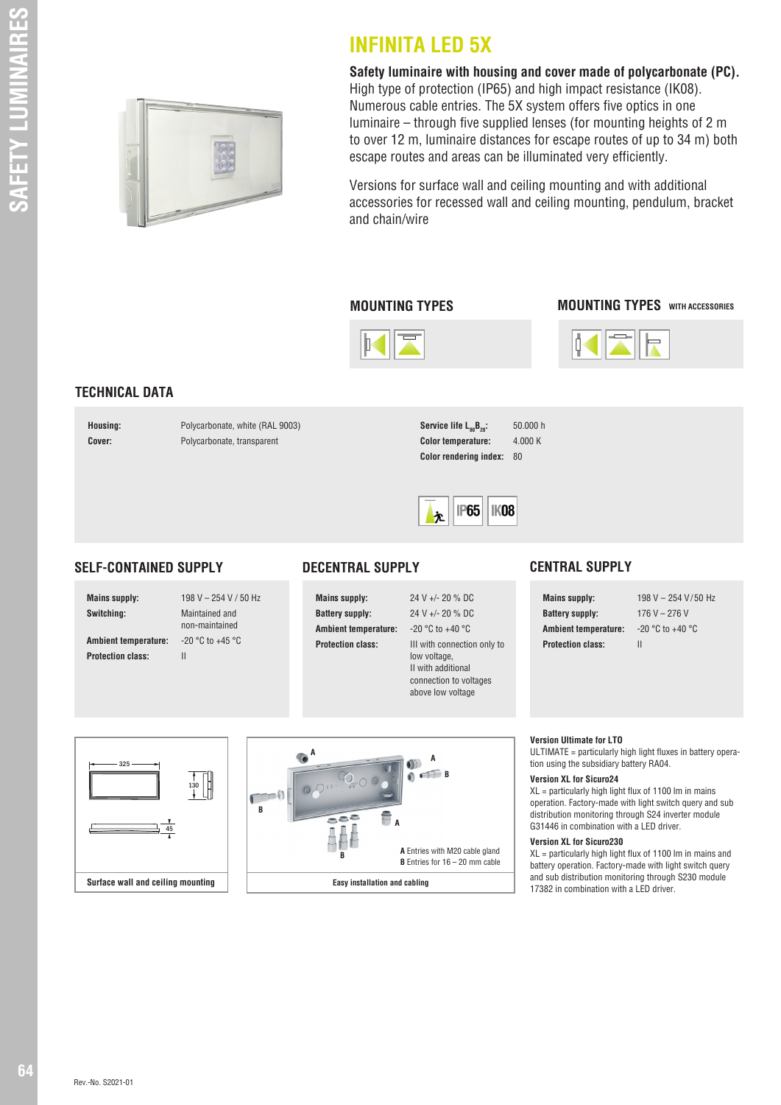

# **INFINITA LED 5X**

**Safety luminaire with housing and cover made of polycarbonate (PC).**  High type of protection (IP65) and high impact resistance (IK08). Numerous cable entries. The 5X system offers five optics in one luminaire – through five supplied lenses (for mounting heights of 2 m to over 12 m, luminaire distances for escape routes of up to 34 m) both escape routes and areas can be illuminated very efficiently.

Versions for surface wall and ceiling mounting and with additional accessories for recessed wall and ceiling mounting, pendulum, bracket and chain/wire





## **TECHNICAL DATA**

**Housing:** Polycarbonate, white (RAL 9003) **Cover:** Polycarbonate, transparent





### **SELF-CONTAINED SUPPLY**

**Protection class:** II

**Mains supply:** 198 V – 254 V / 50 Hz **Switching:** Maintained and non-maintained **Ambient temperature:** -20 °C to +45 °C



### **CENTRAL SUPPLY**

**Mains supply:** 198 V – 254 V/50 Hz **Battery supply:** 176 V – 276 V **Ambient temperature:** -20 °C to +40 °C **Protection class:** II





**Mains supply:** 24 V +/- 20 % DC **Battery supply:** 24 V +/- 20 % DC **Ambient temperature:** -20 °C to +40 °C **Protection class:** III with connection only to low voltage. II with additional connection to voltages above low voltage

### **Version Ultimate for LTO**

ULTIMATE = particularly high light fluxes in battery operation using the subsidiary battery RA04.

#### **Version XL for Sicuro24**

XL = particularly high light flux of 1100 lm in mains operation. Factory-made with light switch query and sub distribution monitoring through S24 inverter module G31446 in combination with a LED driver.

#### **Version XL for Sicuro230**

XL = particularly high light flux of 1100 lm in mains and battery operation. Factory-made with light switch query and sub distribution monitoring through S230 module 17382 in combination with a LED driver